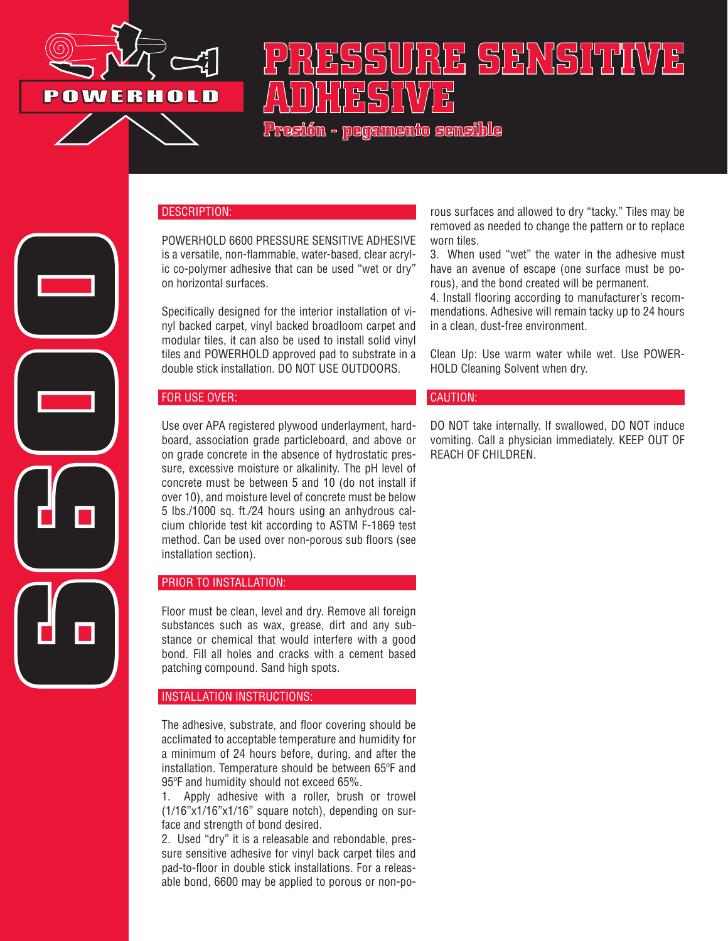

# - BS BS RIV(S) (7 T) (V/) B **ADHESIVE**

**Presión - pegamento sensible**

### DESCRIPTION:

POWERHOLD 6600 PRESSURE SENSITIVE ADHESIVE is a versatile, non-flammable, water-based, clear acrylic co-polymer adhesive that can be used "wet or dry" on horizontal surfaces.

Specifically designed for the interior installation of vinyl backed carpet, vinyl backed broadloom carpet and modular tiles, it can also be used to install solid vinyl tiles and POWERHOLD approved pad to substrate in a double stick installation. DO NOT USE OUTDOORS.

### FOR USE OVER:

**6600**

Use over APA registered plywood underlayment, hardboard, association grade particleboard, and above or on grade concrete in the absence of hydrostatic pressure, excessive moisture or alkalinity. The pH level of concrete must be between 5 and 10 (do not install if over 10), and moisture level of concrete must be below 5 lbs./1000 sq. ft./24 hours using an anhydrous calcium chloride test kit according to ASTM F-1869 test method. Can be used over non-porous sub floors (see installation section).

### PRIOR TO INSTALLATION:

Floor must be clean, level and dry. Remove all foreign substances such as wax, grease, dirt and any substance or chemical that would interfere with a good bond. Fill all holes and cracks with a cement based patching compound. Sand high spots.

### INSTALLATION INSTRUCTIONS:

The adhesive, substrate, and floor covering should be acclimated to acceptable temperature and humidity for a minimum of 24 hours before, during, and after the installation. Temperature should be between 65ºF and 95ºF and humidity should not exceed 65%.

1. Apply adhesive with a roller, brush or trowel (1/16"x1/16"x1/16" square notch), depending on surface and strength of bond desired.

2. Used "dry" it is a releasable and rebondable, pressure sensitive adhesive for vinyl back carpet tiles and pad-to-floor in double stick installations. For a releasable bond, 6600 may be applied to porous or non-po-

rous surfaces and allowed to dry "tacky." Tiles may be removed as needed to change the pattern or to replace worn tiles.

3. When used "wet" the water in the adhesive must have an avenue of escape (one surface must be porous), and the bond created will be permanent.

4. Install flooring according to manufacturer's recommendations. Adhesive will remain tacky up to 24 hours in a clean, dust-free environment.

Clean Up: Use warm water while wet. Use POWER-HOLD Cleaning Solvent when dry.

#### CAUTION:

DO NOT take internally. If swallowed, DO NOT induce vomiting. Call a physician immediately. KEEP OUT OF REACH OF CHILDREN.